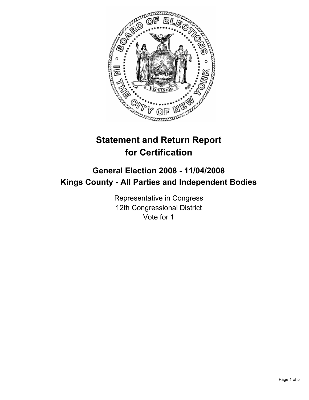

# **Statement and Return Report for Certification**

# **General Election 2008 - 11/04/2008 Kings County - All Parties and Independent Bodies**

Representative in Congress 12th Congressional District Vote for 1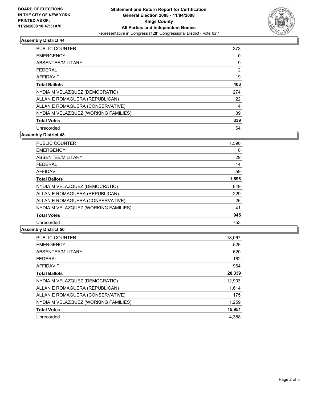

# **Assembly District 44**

| <b>PUBLIC COUNTER</b>                | 373 |
|--------------------------------------|-----|
| <b>EMERGENCY</b>                     | 0   |
| ABSENTEE/MILITARY                    | 9   |
| <b>FEDERAL</b>                       | 2   |
| AFFIDAVIT                            | 19  |
| <b>Total Ballots</b>                 | 403 |
| NYDIA M VELAZQUEZ (DEMOCRATIC)       | 274 |
| ALLAN E ROMAGUERA (REPUBLICAN)       | 22  |
| ALLAN E ROMAGUERA (CONSERVATIVE)     | 4   |
| NYDIA M VELAZQUEZ (WORKING FAMILIES) | 39  |
| <b>Total Votes</b>                   | 339 |
| Unrecorded                           | 64  |

**Assembly District 48**

| <b>PUBLIC COUNTER</b>                | 1,596 |  |
|--------------------------------------|-------|--|
| <b>EMERGENCY</b>                     | 0     |  |
| ABSENTEE/MILITARY                    | 29    |  |
| <b>FEDERAL</b>                       | 14    |  |
| <b>AFFIDAVIT</b>                     | 59    |  |
| <b>Total Ballots</b>                 | 1,698 |  |
| NYDIA M VELAZQUEZ (DEMOCRATIC)       | 649   |  |
| ALLAN E ROMAGUERA (REPUBLICAN)       | 229   |  |
| ALLAN E ROMAGUERA (CONSERVATIVE)     | 26    |  |
| NYDIA M VELAZQUEZ (WORKING FAMILIES) | 41    |  |
| <b>Total Votes</b>                   | 945   |  |
| Unrecorded                           | 753   |  |

#### **Assembly District 50**

| <b>PUBLIC COUNTER</b>                | 18,067 |
|--------------------------------------|--------|
| <b>EMERGENCY</b>                     | 526    |
| ABSENTEE/MILITARY                    | 620    |
| <b>FEDERAL</b>                       | 162    |
| <b>AFFIDAVIT</b>                     | 964    |
| <b>Total Ballots</b>                 | 20,339 |
| NYDIA M VELAZQUEZ (DEMOCRATIC)       | 12,903 |
| ALLAN E ROMAGUERA (REPUBLICAN)       | 1,614  |
| ALLAN E ROMAGUERA (CONSERVATIVE)     | 175    |
| NYDIA M VELAZQUEZ (WORKING FAMILIES) | 1,259  |
| <b>Total Votes</b>                   | 15,951 |
| Unrecorded                           | 4.388  |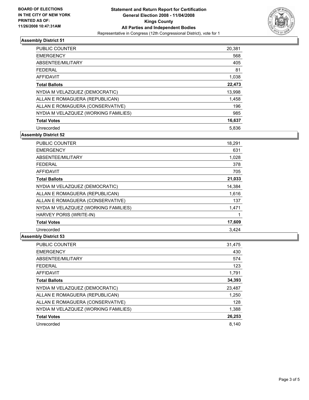

# **Assembly District 51**

| PUBLIC COUNTER                       | 20,381 |
|--------------------------------------|--------|
| <b>EMERGENCY</b>                     | 568    |
| ABSENTEE/MILITARY                    | 405    |
| <b>FEDERAL</b>                       | 81     |
| <b>AFFIDAVIT</b>                     | 1,038  |
| <b>Total Ballots</b>                 | 22,473 |
| NYDIA M VELAZQUEZ (DEMOCRATIC)       | 13,998 |
| ALLAN E ROMAGUERA (REPUBLICAN)       | 1,458  |
| ALLAN E ROMAGUERA (CONSERVATIVE)     | 196    |
| NYDIA M VELAZQUEZ (WORKING FAMILIES) | 985    |
| <b>Total Votes</b>                   | 16,637 |
| Unrecorded                           | 5,836  |

**Assembly District 52**

| <b>PUBLIC COUNTER</b>                | 18,291 |
|--------------------------------------|--------|
| <b>EMERGENCY</b>                     | 631    |
| ABSENTEE/MILITARY                    | 1,028  |
| <b>FEDERAL</b>                       | 378    |
| <b>AFFIDAVIT</b>                     | 705    |
| <b>Total Ballots</b>                 | 21,033 |
| NYDIA M VELAZQUEZ (DEMOCRATIC)       | 14,384 |
| ALLAN E ROMAGUERA (REPUBLICAN)       | 1,616  |
| ALLAN E ROMAGUERA (CONSERVATIVE)     | 137    |
| NYDIA M VELAZQUEZ (WORKING FAMILIES) | 1,471  |
| HARVEY PORIS (WRITE-IN)              |        |
| <b>Total Votes</b>                   | 17,609 |
| Unrecorded                           | 3.424  |

# **Assembly District 53**

| <b>PUBLIC COUNTER</b>                | 31,475 |
|--------------------------------------|--------|
| <b>EMERGENCY</b>                     | 430    |
| ABSENTEE/MILITARY                    | 574    |
| <b>FEDERAL</b>                       | 123    |
| AFFIDAVIT                            | 1,791  |
| <b>Total Ballots</b>                 | 34,393 |
| NYDIA M VELAZQUEZ (DEMOCRATIC)       | 23,487 |
| ALLAN E ROMAGUERA (REPUBLICAN)       | 1,250  |
| ALLAN E ROMAGUERA (CONSERVATIVE)     | 128    |
| NYDIA M VELAZQUEZ (WORKING FAMILIES) | 1,388  |
| <b>Total Votes</b>                   | 26,253 |
| Unrecorded                           | 8.140  |
|                                      |        |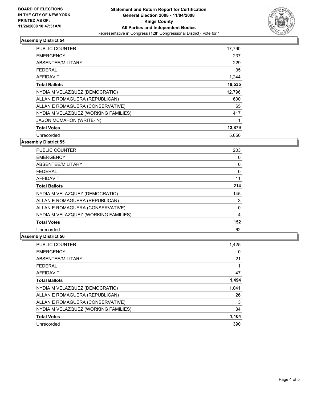

# **Assembly District 54**

| PUBLIC COUNTER                       | 17,790 |
|--------------------------------------|--------|
| <b>EMERGENCY</b>                     | 237    |
| ABSENTEE/MILITARY                    | 229    |
| <b>FEDERAL</b>                       | 35     |
| AFFIDAVIT                            | 1,244  |
| <b>Total Ballots</b>                 | 19,535 |
| NYDIA M VELAZQUEZ (DEMOCRATIC)       | 12,796 |
| ALLAN E ROMAGUERA (REPUBLICAN)       | 600    |
| ALLAN E ROMAGUERA (CONSERVATIVE)     | 65     |
| NYDIA M VELAZQUEZ (WORKING FAMILIES) | 417    |
| <b>JASON MCMAHON (WRITE-IN)</b>      |        |
| <b>Total Votes</b>                   | 13,879 |
| Unrecorded                           | 5,656  |

# **Assembly District 55**

| PUBLIC COUNTER                       | 203 |  |
|--------------------------------------|-----|--|
| <b>EMERGENCY</b>                     |     |  |
| ABSENTEE/MILITARY                    |     |  |
| <b>FEDERAL</b>                       |     |  |
| AFFIDAVIT                            | 11  |  |
| <b>Total Ballots</b>                 | 214 |  |
| NYDIA M VELAZQUEZ (DEMOCRATIC)       | 145 |  |
| ALLAN E ROMAGUERA (REPUBLICAN)       | 3   |  |
| ALLAN E ROMAGUERA (CONSERVATIVE)     |     |  |
| NYDIA M VELAZQUEZ (WORKING FAMILIES) |     |  |
| <b>Total Votes</b>                   | 152 |  |
| Unrecorded                           | 62  |  |

# **Assembly District 56**

| <b>PUBLIC COUNTER</b>                | 1,425 |
|--------------------------------------|-------|
| <b>EMERGENCY</b>                     | 0     |
| ABSENTEE/MILITARY                    | 21    |
| <b>FEDERAL</b>                       |       |
| <b>AFFIDAVIT</b>                     | 47    |
| <b>Total Ballots</b>                 | 1,494 |
| NYDIA M VELAZQUEZ (DEMOCRATIC)       | 1,041 |
| ALLAN E ROMAGUERA (REPUBLICAN)       | 26    |
| ALLAN E ROMAGUERA (CONSERVATIVE)     | 3     |
| NYDIA M VELAZQUEZ (WORKING FAMILIES) | 34    |
| <b>Total Votes</b>                   | 1,104 |
| Unrecorded                           | 390   |